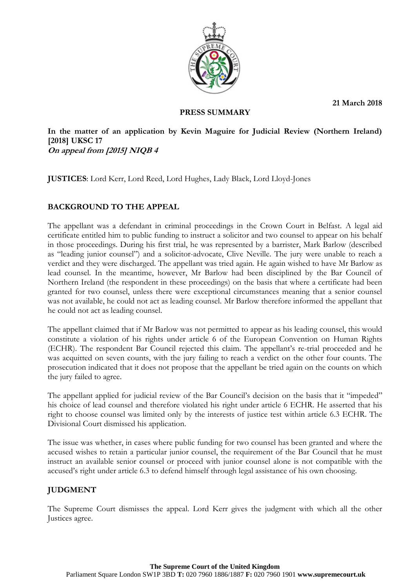**21 March 2018**



### **PRESS SUMMARY**

**In the matter of an application by Kevin Maguire for Judicial Review (Northern Ireland) [2018] UKSC 17 On appeal from [2015] NIQB 4**

**JUSTICES**: Lord Kerr, Lord Reed, Lord Hughes, Lady Black, Lord Lloyd-Jones

## **BACKGROUND TO THE APPEAL**

The appellant was a defendant in criminal proceedings in the Crown Court in Belfast. A legal aid certificate entitled him to public funding to instruct a solicitor and two counsel to appear on his behalf in those proceedings. During his first trial, he was represented by a barrister, Mark Barlow (described as "leading junior counsel") and a solicitor-advocate, Clive Neville. The jury were unable to reach a verdict and they were discharged. The appellant was tried again. He again wished to have Mr Barlow as lead counsel. In the meantime, however, Mr Barlow had been disciplined by the Bar Council of Northern Ireland (the respondent in these proceedings) on the basis that where a certificate had been granted for two counsel, unless there were exceptional circumstances meaning that a senior counsel was not available, he could not act as leading counsel. Mr Barlow therefore informed the appellant that he could not act as leading counsel.

The appellant claimed that if Mr Barlow was not permitted to appear as his leading counsel, this would constitute a violation of his rights under article 6 of the European Convention on Human Rights (ECHR). The respondent Bar Council rejected this claim. The appellant's re-trial proceeded and he was acquitted on seven counts, with the jury failing to reach a verdict on the other four counts. The prosecution indicated that it does not propose that the appellant be tried again on the counts on which the jury failed to agree.

The appellant applied for judicial review of the Bar Council's decision on the basis that it "impeded" his choice of lead counsel and therefore violated his right under article 6 ECHR. He asserted that his right to choose counsel was limited only by the interests of justice test within article 6.3 ECHR. The Divisional Court dismissed his application.

The issue was whether, in cases where public funding for two counsel has been granted and where the accused wishes to retain a particular junior counsel, the requirement of the Bar Council that he must instruct an available senior counsel or proceed with junior counsel alone is not compatible with the accused's right under article 6.3 to defend himself through legal assistance of his own choosing.

# **JUDGMENT**

The Supreme Court dismisses the appeal. Lord Kerr gives the judgment with which all the other Justices agree.